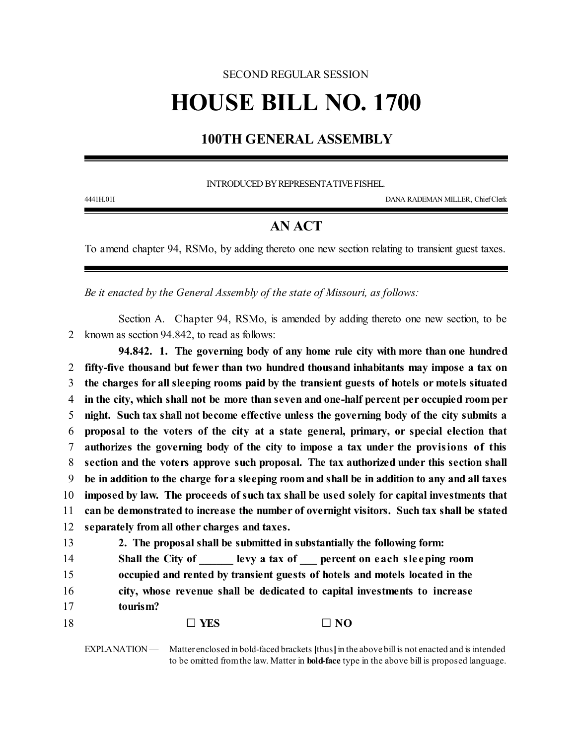## SECOND REGULAR SESSION **HOUSE BILL NO. 1700**

## **100TH GENERAL ASSEMBLY**

INTRODUCED BY REPRESENTATIVE FISHEL.

4441H.01I DANA RADEMAN MILLER, ChiefClerk

## **AN ACT**

To amend chapter 94, RSMo, by adding thereto one new section relating to transient guest taxes.

*Be it enacted by the General Assembly of the state of Missouri, as follows:*

Section A. Chapter 94, RSMo, is amended by adding thereto one new section, to be 2 known as section 94.842, to read as follows:

**94.842. 1. The governing body of any home rule city with more than one hundred fifty-five thousand but fewer than two hundred thousand inhabitants may impose a tax on the charges for all sleeping rooms paid by the transient guests of hotels or motels situated in the city, which shall not be more than seven and one-half percent per occupied room per night. Such tax shall not become effective unless the governing body of the city submits a proposal to the voters of the city at a state general, primary, or special election that authorizes the governing body of the city to impose a tax under the provisions of this section and the voters approve such proposal. The tax authorized under this section shall be in addition to the charge fora sleeping room and shall be in addition to any and all taxes imposed by law. The proceeds of such tax shall be used solely for capital investments that can be demonstrated to increase the number of overnight visitors. Such tax shall be stated separately from all other charges and taxes.**

| 13 | 2. The proposal shall be submitted in substantially the following form:     |                                                               |
|----|-----------------------------------------------------------------------------|---------------------------------------------------------------|
| 14 |                                                                             | Shall the City of levy a tax of percent on each sleeping room |
| 15 | occupied and rented by transient guests of hotels and motels located in the |                                                               |
| 16 | city, whose revenue shall be dedicated to capital investments to increase   |                                                               |
| 17 | tourism?                                                                    |                                                               |
| 18 | $\Box$ Yes                                                                  | $\Box$ NO                                                     |

EXPLANATION — Matter enclosed in bold-faced brackets [thus] in the above bill is not enacted and is intended to be omitted fromthe law. Matter in **bold-face** type in the above bill is proposed language.